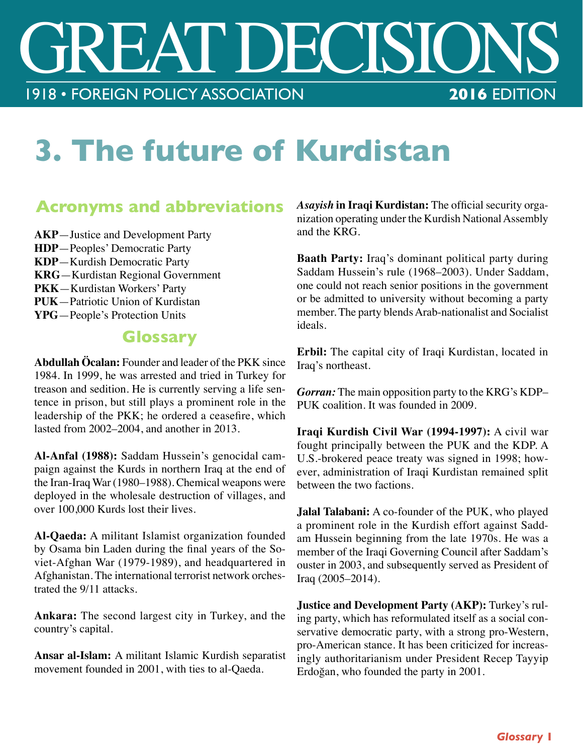## SSOCIATION 2016 EDITION 1918 • FOREIGN POLICY ASSOCIATION

## **3. The future of Kurdistan**

## **Acronyms and abbreviations**

**AKP**—Justice and Development Party **HDP**—Peoples' Democratic Party **KDP**—Kurdish Democratic Party **KRG**—Kurdistan Regional Government **PKK**—Kurdistan Workers' Party **PUK**—Patriotic Union of Kurdistan **YPG**—People's Protection Units

## **Glossary**

**Abdullah Öcalan:** Founder and leader of the PKK since 1984. In 1999, he was arrested and tried in Turkey for treason and sedition. He is currently serving a life sentence in prison, but still plays a prominent role in the leadership of the PKK; he ordered a ceasefre, which lasted from 2002–2004, and another in 2013.

**Al-Anfal (1988):** Saddam Hussein's genocidal campaign against the Kurds in northern Iraq at the end of the Iran-Iraq War (1980–1988). Chemical weapons were deployed in the wholesale destruction of villages, and over 100,000 Kurds lost their lives.

**Al-Qaeda:** A militant Islamist organization founded by Osama bin Laden during the fnal years of the Soviet-Afghan War (1979-1989), and headquartered in Afghanistan. The international terrorist network orchestrated the 9/11 attacks.

**Ankara:** The second largest city in Turkey, and the country's capital.

**Ansar al-Islam:** A militant Islamic Kurdish separatist movement founded in 2001, with ties to al-Qaeda.

Asayish in Iraqi Kurdistan: The official security organization operating under the Kurdish National Assembly and the KRG.

**Baath Party:** Iraq's dominant political party during Saddam Hussein's rule (1968–2003). Under Saddam, one could not reach senior positions in the government or be admitted to university without becoming a party member. The party blends Arab-nationalist and Socialist ideals.

**Erbil:** The capital city of Iraqi Kurdistan, located in Iraq's northeast.

*Gorran:* The main opposition party to the KRG's KDP– PUK coalition. It was founded in 2009.

**Iraqi Kurdish Civil War (1994-1997):** A civil war fought principally between the PUK and the KDP. A U.S.-brokered peace treaty was signed in 1998; however, administration of Iraqi Kurdistan remained split between the two factions.

**Jalal Talabani:** A co-founder of the PUK, who played a prominent role in the Kurdish effort against Saddam Hussein beginning from the late 1970s. He was a member of the Iraqi Governing Council after Saddam's ouster in 2003, and subsequently served as President of Iraq (2005–2014).

**Justice and Development Party (AKP):** Turkey's ruling party, which has reformulated itself as a social conservative democratic party, with a strong pro-Western, pro-American stance. It has been criticized for increasingly authoritarianism under President Recep Tayyip Erdoğan, who founded the party in 2001.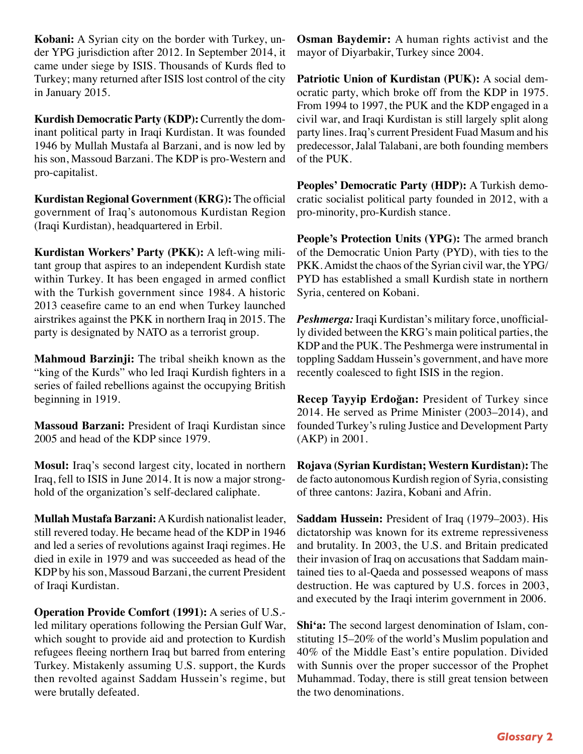**Kobani:** A Syrian city on the border with Turkey, under YPG jurisdiction after 2012. In September 2014, it came under siege by ISIS. Thousands of Kurds fed to Turkey; many returned after ISIS lost control of the city in January 2015.

**Kurdish Democratic Party (KDP):** Currently the dominant political party in Iraqi Kurdistan. It was founded 1946 by Mullah Mustafa al Barzani, and is now led by his son, Massoud Barzani. The KDP is pro-Western and pro-capitalist.

**Kurdistan Regional Government (KRG):** The official government of Iraq's autonomous Kurdistan Region (Iraqi Kurdistan), headquartered in Erbil.

**Kurdistan Workers' Party (PKK):** A left-wing militant group that aspires to an independent Kurdish state within Turkey. It has been engaged in armed confict with the Turkish government since 1984. A historic 2013 ceasefre came to an end when Turkey launched airstrikes against the PKK in northern Iraq in 2015. The party is designated by NATO as a terrorist group.

**Mahmoud Barzinji:** The tribal sheikh known as the "king of the Kurds" who led Iraqi Kurdish fghters in a series of failed rebellions against the occupying British beginning in 1919.

**Massoud Barzani:** President of Iraqi Kurdistan since 2005 and head of the KDP since 1979.

**Mosul:** Iraq's second largest city, located in northern Iraq, fell to ISIS in June 2014. It is now a major stronghold of the organization's self-declared caliphate.

**Mullah Mustafa Barzani:** A Kurdish nationalist leader, still revered today. He became head of the KDP in 1946 and led a series of revolutions against Iraqi regimes. He died in exile in 1979 and was succeeded as head of the KDP by his son, Massoud Barzani, the current President of Iraqi Kurdistan.

**Operation Provide Comfort (1991):** A series of U.S. led military operations following the Persian Gulf War, which sought to provide aid and protection to Kurdish refugees feeing northern Iraq but barred from entering Turkey. Mistakenly assuming U.S. support, the Kurds then revolted against Saddam Hussein's regime, but were brutally defeated.

**Osman Baydemir:** A human rights activist and the mayor of Diyarbakir, Turkey since 2004.

**Patriotic Union of Kurdistan (PUK):** A social democratic party, which broke off from the KDP in 1975. From 1994 to 1997, the PUK and the KDP engaged in a civil war, and Iraqi Kurdistan is still largely split along party lines. Iraq's current President Fuad Masum and his predecessor, Jalal Talabani, are both founding members of the PUK.

**Peoples' Democratic Party (HDP):** A Turkish democratic socialist political party founded in 2012, with a pro-minority, pro-Kurdish stance.

**People's Protection Units (YPG):** The armed branch of the Democratic Union Party (PYD), with ties to the PKK. Amidst the chaos of the Syrian civil war, the YPG/ PYD has established a small Kurdish state in northern Syria, centered on Kobani.

Peshmerga: Iraqi Kurdistan's military force, unofficially divided between the KRG's main political parties, the KDP and the PUK. The Peshmerga were instrumental in toppling Saddam Hussein's government, and have more recently coalesced to fght ISIS in the region.

**Recep Tayyip Erdoğan:** President of Turkey since 2014. He served as Prime Minister (2003–2014), and founded Turkey's ruling Justice and Development Party (AKP) in 2001.

**Rojava (Syrian Kurdistan; Western Kurdistan):** The de facto autonomous Kurdish region of Syria, consisting of three cantons: Jazira, Kobani and Afrin.

**Saddam Hussein:** President of Iraq (1979–2003). His dictatorship was known for its extreme repressiveness and brutality. In 2003, the U.S. and Britain predicated their invasion of Iraq on accusations that Saddam maintained ties to al-Qaeda and possessed weapons of mass destruction. He was captured by U.S. forces in 2003, and executed by the Iraqi interim government in 2006.

**Shi'a:** The second largest denomination of Islam, constituting 15–20% of the world's Muslim population and 40% of the Middle East's entire population. Divided with Sunnis over the proper successor of the Prophet Muhammad. Today, there is still great tension between the two denominations.